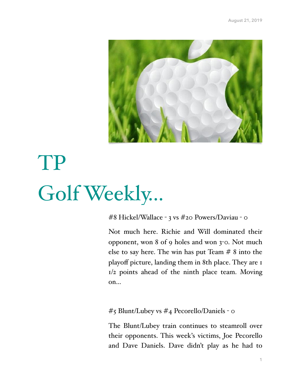

# TP Golf Weekly…

#8 Hickel/Wallace - 3 vs #20 Powers/Daviau - 0

Not much here. Richie and Will dominated their opponent, won 8 of 9 holes and won 3-0. Not much else to say here. The win has put Team  $# 8$  into the playoff picture, landing them in 8th place. They are 1 1/2 points ahead of the ninth place team. Moving on…

#5 Blunt/Lubey vs #4 Pecorello/Daniels - 0

The Blunt/Lubey train continues to steamroll over their opponents. This week's victims, Joe Pecorello and Dave Daniels. Dave didn't play as he had to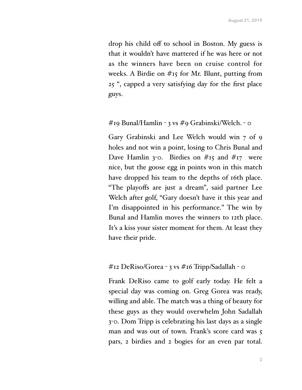drop his child off to school in Boston. My guess is that it wouldn't have mattered if he was here or not as the winners have been on cruise control for weeks. A Birdie on #15 for Mr. Blunt, putting from 25 ", capped a very satisfying day for the first place guys.

#### #19 Bunal/Hamlin - 3 vs #9 Grabinski/Welch. - 0

Gary Grabinski and Lee Welch would win 7 of 9 holes and not win a point, losing to Chris Bunal and Dave Hamlin 3-0. Birdies on  $\#$ 15 and  $\#$ 17 were nice, but the goose egg in points won in this match have dropped his team to the depths of 16th place. "The playoffs are just a dream", said partner Lee Welch after golf, "Gary doesn't have it this year and I'm disappointed in his performance." The win by Bunal and Hamlin moves the winners to 12th place. It's a kiss your sister moment for them. At least they have their pride.

## #12 DeRiso/Gorea - 3 vs #16 Tripp/Sadallah - 0

Frank DeRiso came to golf early today. He felt a special day was coming on. Greg Gorea was ready, willing and able. The match was a thing of beauty for these guys as they would overwhelm John Sadallah 3-0. Dom Tripp is celebrating his last days as a single man and was out of town. Frank's score card was 5 pars, 2 birdies and 2 bogies for an even par total.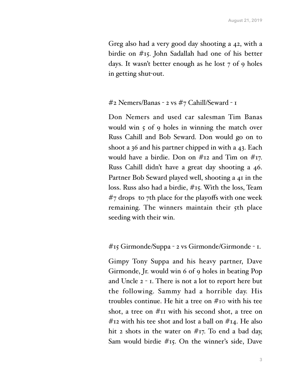Greg also had a very good day shooting a 42, with a birdie on #15. John Sadallah had one of his better days. It wasn't better enough as he lost 7 of 9 holes in getting shut-out.

## #2 Nemers/Banas - 2 vs #7 Cahill/Seward - 1

Don Nemers and used car salesman Tim Banas would win 5 of 9 holes in winning the match over Russ Cahill and Bob Seward. Don would go on to shoot a 36 and his partner chipped in with a 43. Each would have a birdie. Don on  $\#$ 12 and Tim on  $\#$ 17. Russ Cahill didn't have a great day shooting a 46. Partner Bob Seward played well, shooting a 41 in the loss. Russ also had a birdie, #15. With the loss, Team  $#7$  drops to 7th place for the playoffs with one week remaining. The winners maintain their 5th place seeding with their win.

#15 Girmonde/Suppa - 2 vs Girmonde/Girmonde - 1.

Gimpy Tony Suppa and his heavy partner, Dave Girmonde, Jr. would win 6 of 9 holes in beating Pop and Uncle 2 - 1. There is not a lot to report here but the following. Sammy had a horrible day. His troubles continue. He hit a tree on #10 with his tee shot, a tree on #11 with his second shot, a tree on #12 with his tee shot and lost a ball on #14. He also hit 2 shots in the water on  $\#_{17}$ . To end a bad day, Sam would birdie #15. On the winner's side, Dave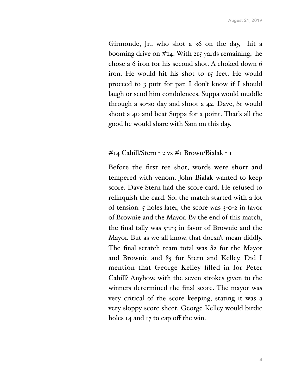Girmonde, Jr., who shot a 36 on the day, hit a booming drive on  $#14$ . With 215 yards remaining, he chose a 6 iron for his second shot. A choked down 6 iron. He would hit his shot to 15 feet. He would proceed to 3 putt for par. I don't know if I should laugh or send him condolences. Suppa would muddle through a so-so day and shoot a 42. Dave, Sr would shoot a 40 and beat Suppa for a point. That's all the good he would share with Sam on this day.

#### #14 Cahill/Stern - 2 vs #1 Brown/Bialak - 1

Before the first tee shot, words were short and tempered with venom. John Bialak wanted to keep score. Dave Stern had the score card. He refused to relinquish the card. So, the match started with a lot of tension. 5 holes later, the score was 3-0-2 in favor of Brownie and the Mayor. By the end of this match, the final tally was  $5-1-3$  in favor of Brownie and the Mayor. But as we all know, that doesn't mean diddly. The final scratch team total was 82 for the Mayor and Brownie and 85 for Stern and Kelley. Did I mention that George Kelley filled in for Peter Cahill? Anyhow, with the seven strokes given to the winners determined the final score. The mayor was very critical of the score keeping, stating it was a very sloppy score sheet. George Kelley would birdie holes 14 and 17 to cap off the win.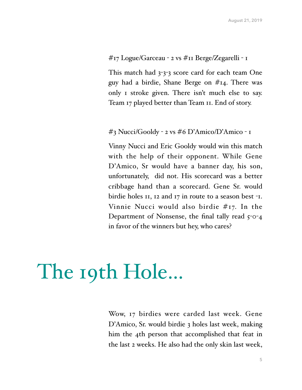# #17 Logue/Garceau - 2 vs #11 Berge/Zegarelli - 1

This match had 3-3-3 score card for each team One guy had a birdie, Shane Berge on #14. There was only 1 stroke given. There isn't much else to say. Team 17 played better than Team 11. End of story.

# #3 Nucci/Gooldy - 2 vs #6 D'Amico/D'Amico - 1

Vinny Nucci and Eric Gooldy would win this match with the help of their opponent. While Gene D'Amico, Sr would have a banner day, his son, unfortunately, did not. His scorecard was a better cribbage hand than a scorecard. Gene Sr. would birdie holes 11, 12 and 17 in route to a season best -1. Vinnie Nucci would also birdie #17. In the Department of Nonsense, the final tally read  $5$ -0-4 in favor of the winners but hey, who cares?

# The 19th Hole…

Wow, 17 birdies were carded last week. Gene D'Amico, Sr. would birdie 3 holes last week, making him the 4th person that accomplished that feat in the last 2 weeks. He also had the only skin last week,